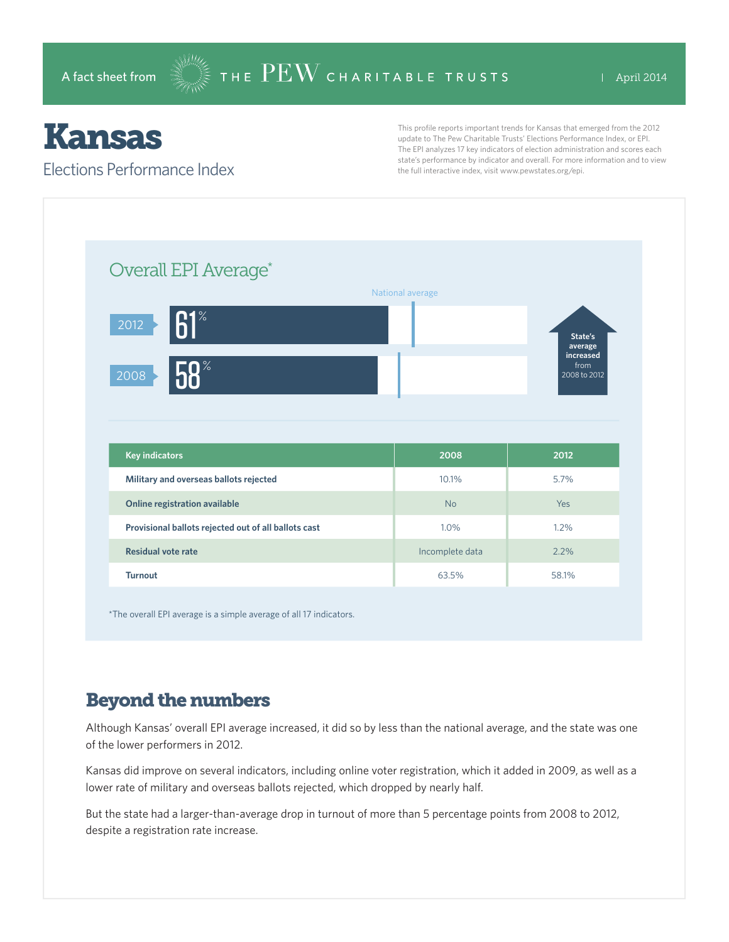# Kansas

#### Elections Performance Index

This profile reports important trends for Kansas that emerged from the 2012 update to The Pew Charitable Trusts' Elections Performance Index, or EPI. The EPI analyzes 17 key indicators of election administration and scores each state's performance by indicator and overall. For more information and to view the full interactive index, visit www.pewstates.org/epi.

| Overall EPI Average*                                 |                  |                                   |
|------------------------------------------------------|------------------|-----------------------------------|
|                                                      | National average |                                   |
| $R1^*$<br>2012                                       |                  | State's<br>average                |
| 0 <sup>°</sup><br>2008                               |                  | increased<br>from<br>2008 to 2012 |
|                                                      |                  |                                   |
|                                                      |                  |                                   |
|                                                      |                  |                                   |
| <b>Key indicators</b>                                | 2008             | 2012                              |
| Military and overseas ballots rejected               | 10.1%            | 5.7%                              |
| Online registration available                        | <b>No</b>        | Yes                               |
| Provisional ballots rejected out of all ballots cast | 1.0%             | 1.2%                              |
| <b>Residual vote rate</b>                            | Incomplete data  | 2.2%                              |

\*The overall EPI average is a simple average of all 17 indicators.

# Beyond the numbers

Although Kansas' overall EPI average increased, it did so by less than the national average, and the state was one of the lower performers in 2012.

Kansas did improve on several indicators, including online voter registration, which it added in 2009, as well as a lower rate of military and overseas ballots rejected, which dropped by nearly half.

But the state had a larger-than-average drop in turnout of more than 5 percentage points from 2008 to 2012, despite a registration rate increase.